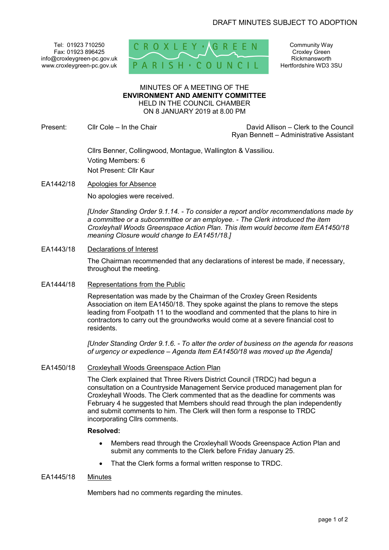Tel: 01923 710250 Fax: 01923 896425 info@croxleygreen-pc.gov.uk www.croxleygreen-pc.gov.uk



Community Way Croxley Green Rickmansworth Hertfordshire WD3 3SU

### MINUTES OF A MEETING OF THE **ENVIRONMENT AND AMENITY COMMITTEE** HELD IN THE COUNCIL CHAMBER ON 8 JANUARY 2019 at 8.00 PM

Present: Cllr Cole – In the Chair Chair David Allison – Clerk to the Council Ryan Bennett – Administrative Assistant

> Cllrs Benner, Collingwood, Montague, Wallington & Vassiliou. Voting Members: 6 Not Present: Cllr Kaur

EA1442/18 Apologies for Absence

No apologies were received.

*[Under Standing Order 9.1.14. - To consider a report and/or recommendations made by a committee or a subcommittee or an employee. - The Clerk introduced the item Croxleyhall Woods Greenspace Action Plan. This item would become item EA1450/18 meaning Closure would change to EA1451/18.]*

# EA1443/18 Declarations of Interest

The Chairman recommended that any declarations of interest be made, if necessary, throughout the meeting.

EA1444/18 Representations from the Public

Representation was made by the Chairman of the Croxley Green Residents Association on item EA1450/18. They spoke against the plans to remove the steps leading from Footpath 11 to the woodland and commented that the plans to hire in contractors to carry out the groundworks would come at a severe financial cost to residents.

*[Under Standing Order 9.1.6. - To alter the order of business on the agenda for reasons of urgency or expedience – Agenda Item EA1450/18 was moved up the Agenda]*

# EA1450/18 Croxleyhall Woods Greenspace Action Plan

The Clerk explained that Three Rivers District Council (TRDC) had begun a consultation on a Countryside Management Service produced management plan for Croxleyhall Woods. The Clerk commented that as the deadline for comments was February 4 he suggested that Members should read through the plan independently and submit comments to him. The Clerk will then form a response to TRDC incorporating Cllrs comments.

### **Resolved:**

- Members read through the Croxleyhall Woods Greenspace Action Plan and submit any comments to the Clerk before Friday January 25.
- That the Clerk forms a formal written response to TRDC.

# EA1445/18 Minutes

Members had no comments regarding the minutes.